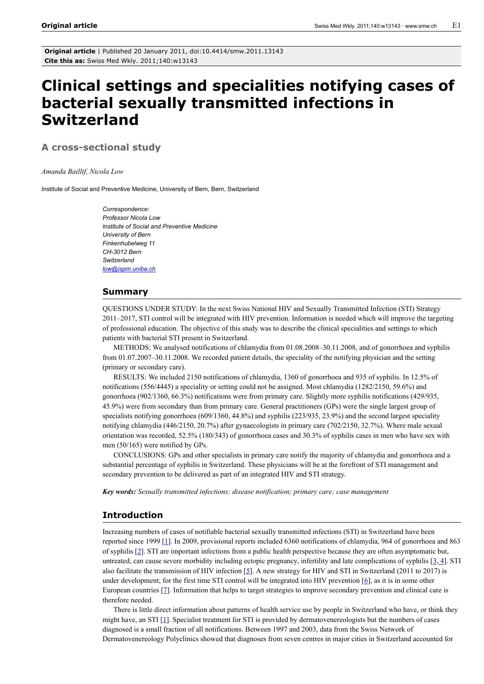**Original article** | Published 20 January 2011, doi:10.4414/smw.2011.13143 **Cite this as:** Swiss Med Wkly. 2011;140:w13143

# **Clinical settings and specialities notifying cases of bacterial sexually transmitted infections in Switzerland**

**A cross-sectional study**

*Amanda Baillif, Nicola Low*

Institute of Social and Preventive Medicine, University of Bern, Bern, Switzerland

*Correspondence: Professor Nicola Low Institute of Social and Preventive Medicine University of Bern Finkenhubelweg 11 CH-3012 Bern Switzerland [low@ispm.unibe.ch](mailto:low@ispm.unibe.ch)*

### **Summary**

QUESTIONS UNDER STUDY: In the next Swiss National HIV and Sexually Transmitted Infection (STI) Strategy 2011–2017, STI control will be integrated with HIV prevention. Information is needed which will improve the targeting of professional education. The objective of this study was to describe the clinical specialities and settings to which patients with bacterial STI present in Switzerland.

METHODS: We analysed notifications of chlamydia from 01.08.2008–30.11.2008, and of gonorrhoea and syphilis from 01.07.2007–30.11.2008. We recorded patient details, the speciality of the notifying physician and the setting (primary or secondary care).

RESULTS: We included 2150 notifications of chlamydia, 1360 of gonorrhoea and 935 of syphilis. In 12.5% of notifications (556/4445) a speciality or setting could not be assigned. Most chlamydia (1282/2150, 59.6%) and gonorrhoea (902/1360, 66.3%) notifications were from primary care. Slightly more syphilis notifications (429/935, 45.9%) were from secondary than from primary care. General practitioners (GPs) were the single largest group of specialists notifying gonorrhoea (609/1360, 44.8%) and syphilis (223/935, 23.9%) and the second largest speciality notifying chlamydia (446/2150, 20.7%) after gynaecologists in primary care (702/2150, 32.7%). Where male sexual orientation was recorded, 52.5% (180/343) of gonorrhoea cases and 30.3% of syphilis cases in men who have sex with men (50/165) were notified by GPs.

CONCLUSIONS: GPs and other specialists in primary care notify the majority of chlamydia and gonorrhoea and a substantial percentage of syphilis in Switzerland. These physicians will be at the forefront of STI management and secondary prevention to be delivered as part of an integrated HIV and STI strategy.

*Key words: Sexually transmitted infections; disease notification; primary care; case management*

## **Introduction**

Increasing numbers of cases of notifiable bacterial sexually transmitted infections (STI) in Switzerland have been reported since 1999 [\[1\]](#page-5-0). In 2009, provisional reports included 6360 notifications of chlamydia, 964 of gonorrhoea and 863 of syphilis [[2\]](#page-5-1). STI are important infections from a public health perspective because they are often asymptomatic but, untreated, can cause severe morbidity including ectopic pregnancy, infertility and late complications of syphilis  $[3, 4]$  $[3, 4]$  $[3, 4]$ . STI also facilitate the transmission of HIV infection  $[5]$  $[5]$  $[5]$ . A new strategy for HIV and STI in Switzerland (2011 to 2017) is under development; for the first time STI control will be integrated into HIV prevention [[6](#page-5-5)], as it is in some other European countries [[7](#page-5-6)]. Information that helps to target strategies to improve secondary prevention and clinical care is therefore needed.

There is little direct information about patterns of health service use by people in Switzerland who have, or think they might have, an STI  $[1]$ . Specialist treatment for STI is provided by dermatovenereologists but the numbers of cases diagnosed is a small fraction of all notifications. Between 1997 and 2003, data from the Swiss Network of Dermatovenereology Polyclinics showed that diagnoses from seven centres in major cities in Switzerland accounted for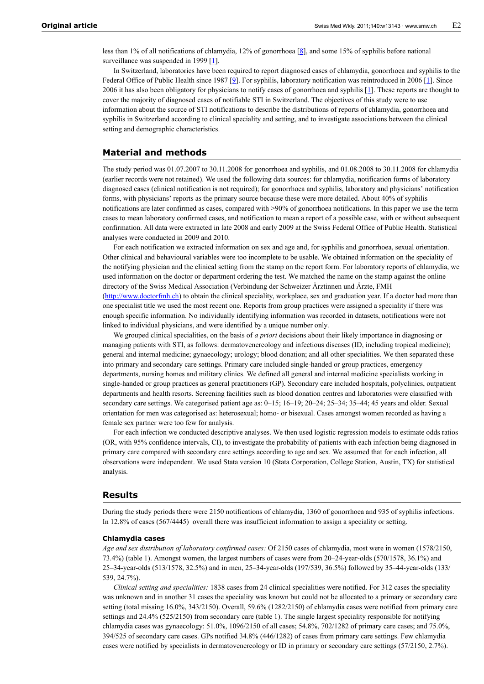less than 1% of all notifications of chlamydia, 12% of gonorrhoea [\[8\]](#page-5-7), and some 15% of syphilis before national surveillance was suspended in 1999 [\[1\]](#page-5-0).

In Switzerland, laboratories have been required to report diagnosed cases of chlamydia, gonorrhoea and syphilis to the Federal Office of Public Health since 1[9](#page-5-8)87 [9]. For syphilis, laboratory notification was reintroduced in 2006 [\[1\]](#page-5-0). Since 2006 it has also been obligatory for physicians to notify cases of gonorrhoea and syphilis  $[1]$  $[1]$  $[1]$ . These reports are thought to cover the majority of diagnosed cases of notifiable STI in Switzerland. The objectives of this study were to use information about the source of STI notifications to describe the distributions of reports of chlamydia, gonorrhoea and syphilis in Switzerland according to clinical speciality and setting, and to investigate associations between the clinical setting and demographic characteristics.

## **Material and methods**

The study period was 01.07.2007 to 30.11.2008 for gonorrhoea and syphilis, and 01.08.2008 to 30.11.2008 for chlamydia (earlier records were not retained). We used the following data sources: for chlamydia, notification forms of laboratory diagnosed cases (clinical notification is not required); for gonorrhoea and syphilis, laboratory and physicians' notification forms, with physicians' reports as the primary source because these were more detailed. About 40% of syphilis notifications are later confirmed as cases, compared with >90% of gonorrhoea notifications. In this paper we use the term cases to mean laboratory confirmed cases, and notification to mean a report of a possible case, with or without subsequent confirmation. All data were extracted in late 2008 and early 2009 at the Swiss Federal Office of Public Health. Statistical analyses were conducted in 2009 and 2010.

For each notification we extracted information on sex and age and, for syphilis and gonorrhoea, sexual orientation. Other clinical and behavioural variables were too incomplete to be usable. We obtained information on the speciality of the notifying physician and the clinical setting from the stamp on the report form. For laboratory reports of chlamydia, we used information on the doctor or department ordering the test. We matched the name on the stamp against the online directory of the Swiss Medical Association (Verbindung der Schweizer Ärztinnen und Ärzte, FMH [\(http://www.doctorfmh.ch\)](http://www.doctorfmh.ch) to obtain the clinical speciality, workplace, sex and graduation year. If a doctor had more than one specialist title we used the most recent one. Reports from group practices were assigned a speciality if there was enough specific information. No individually identifying information was recorded in datasets, notifications were not linked to individual physicians, and were identified by a unique number only.

We grouped clinical specialities, on the basis of *a priori* decisions about their likely importance in diagnosing or managing patients with STI, as follows: dermatovenereology and infectious diseases (ID, including tropical medicine); general and internal medicine; gynaecology; urology; blood donation; and all other specialities. We then separated these into primary and secondary care settings. Primary care included single-handed or group practices, emergency departments, nursing homes and military clinics. We defined all general and internal medicine specialists working in single-handed or group practices as general practitioners (GP). Secondary care included hospitals, polyclinics, outpatient departments and health resorts. Screening facilities such as blood donation centres and laboratories were classified with secondary care settings. We categorised patient age as: 0–15; 16–19; 20–24; 25–34; 35–44; 45 years and older. Sexual orientation for men was categorised as: heterosexual; homo- or bisexual. Cases amongst women recorded as having a female sex partner were too few for analysis.

For each infection we conducted descriptive analyses. We then used logistic regression models to estimate odds ratios (OR, with 95% confidence intervals, CI), to investigate the probability of patients with each infection being diagnosed in primary care compared with secondary care settings according to age and sex. We assumed that for each infection, all observations were independent. We used Stata version 10 (Stata Corporation, College Station, Austin, TX) for statistical analysis.

## **Results**

During the study periods there were 2150 notifications of chlamydia, 1360 of gonorrhoea and 935 of syphilis infections. In 12.8% of cases (567/4445) overall there was insufficient information to assign a speciality or setting.

# **Chlamydia cases**

*Age and sex distribution of laboratory confirmed cases:* Of 2150 cases of chlamydia, most were in women (1578/2150, 73.4%) (table 1). Amongst women, the largest numbers of cases were from 20–24-year-olds (570/1578, 36.1%) and 25–34-year-olds (513/1578, 32.5%) and in men, 25–34-year-olds (197/539, 36.5%) followed by 35–44-year-olds (133/ 539, 24.7%).

*Clinical setting and specialities:* 1838 cases from 24 clinical specialities were notified. For 312 cases the speciality was unknown and in another 31 cases the speciality was known but could not be allocated to a primary or secondary care setting (total missing 16.0%, 343/2150). Overall, 59.6% (1282/2150) of chlamydia cases were notified from primary care settings and 24.4% (525/2150) from secondary care (table 1). The single largest speciality responsible for notifying chlamydia cases was gynaecology: 51.0%, 1096/2150 of all cases; 54.8%, 702/1282 of primary care cases; and 75.0%, 394/525 of secondary care cases. GPs notified 34.8% (446/1282) of cases from primary care settings. Few chlamydia cases were notified by specialists in dermatovenereology or ID in primary or secondary care settings (57/2150, 2.7%).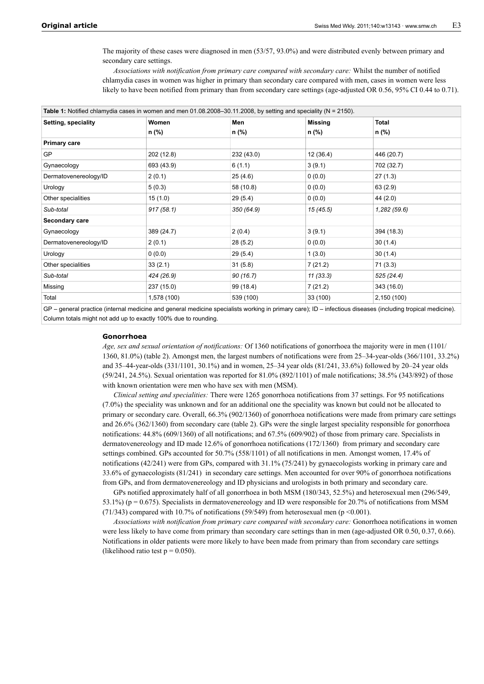The majority of these cases were diagnosed in men (53/57, 93.0%) and were distributed evenly between primary and secondary care settings.

*Associations with notification from primary care compared with secondary care:* Whilst the number of notified chlamydia cases in women was higher in primary than secondary care compared with men, cases in women were less likely to have been notified from primary than from secondary care settings (age-adjusted OR 0.56, 95% CI 0.44 to 0.71).

| Women       | Men<br>n (%) | Missing<br>n (%) | <b>Total</b>                                                                                                        |
|-------------|--------------|------------------|---------------------------------------------------------------------------------------------------------------------|
| n (%)       |              |                  | n (%)                                                                                                               |
|             |              |                  |                                                                                                                     |
| 202 (12.8)  | 232 (43.0)   | 12(36.4)         | 446 (20.7)                                                                                                          |
| 693 (43.9)  | 6(1.1)       | 3(9.1)           | 702 (32.7)                                                                                                          |
| 2(0.1)      | 25(4.6)      | 0(0.0)           | 27(1.3)                                                                                                             |
| 5(0.3)      | 58 (10.8)    | 0(0.0)           | 63 (2.9)                                                                                                            |
| 15(1.0)     | 29 (5.4)     | 0(0.0)           | 44 (2.0)                                                                                                            |
| 917(58.1)   | 350 (64.9)   | 15(45.5)         | 1,282(59.6)                                                                                                         |
|             |              |                  |                                                                                                                     |
| 389 (24.7)  | 2(0.4)       | 3(9.1)           | 394 (18.3)                                                                                                          |
| 2(0.1)      | 28 (5.2)     | 0(0.0)           | 30(1.4)                                                                                                             |
| 0(0.0)      | 29(5.4)      | 1(3.0)           | 30(1.4)                                                                                                             |
| 33(2.1)     | 31(5.8)      | 7(21.2)          | 71 (3.3)                                                                                                            |
| 424 (26.9)  | 90 (16.7)    | 11(33.3)         | 525 (24.4)                                                                                                          |
| 237 (15.0)  | 99 (18.4)    | 7(21.2)          | 343 (16.0)                                                                                                          |
| 1,578 (100) | 539 (100)    | 33 (100)         | 2,150 (100)                                                                                                         |
|             |              |                  | Table 1: Notified chlamydia cases in women and men 01.08.2008–30.11.2008, by setting and speciality ( $N = 2150$ ). |

GP – general practice (internal medicine and general medicine specialists working in primary care); ID – infectious diseases (including tropical medicine). Column totals might not add up to exactly 100% due to rounding.

#### **Gonorrhoea**

*Age, sex and sexual orientation of notifications:* Of 1360 notifications of gonorrhoea the majority were in men (1101/ 1360, 81.0%) (table 2). Amongst men, the largest numbers of notifications were from 25–34-year-olds (366/1101, 33.2%) and 35–44-year-olds (331/1101, 30.1%) and in women, 25–34 year olds (81/241, 33.6%) followed by 20–24 year olds (59/241, 24.5%). Sexual orientation was reported for 81.0% (892/1101) of male notifications; 38.5% (343/892) of those with known orientation were men who have sex with men (MSM).

*Clinical setting and specialities:* There were 1265 gonorrhoea notifications from 37 settings. For 95 notifications (7.0%) the speciality was unknown and for an additional one the speciality was known but could not be allocated to primary or secondary care. Overall, 66.3% (902/1360) of gonorrhoea notifications were made from primary care settings and 26.6% (362/1360) from secondary care (table 2). GPs were the single largest speciality responsible for gonorrhoea notifications: 44.8% (609/1360) of all notifications; and 67.5% (609/902) of those from primary care. Specialists in dermatovenereology and ID made 12.6% of gonorrhoea notifications (172/1360) from primary and secondary care settings combined. GPs accounted for 50.7% (558/1101) of all notifications in men. Amongst women, 17.4% of notifications (42/241) were from GPs, compared with 31.1% (75/241) by gynaecologists working in primary care and 33.6% of gynaecologists (81/241) in secondary care settings. Men accounted for over 90% of gonorrhoea notifications from GPs, and from dermatovenereology and ID physicians and urologists in both primary and secondary care.

GPs notified approximately half of all gonorrhoea in both MSM (180/343, 52.5%) and heterosexual men (296/549, 53.1%) ( $p = 0.675$ ). Specialists in dermatovenereology and ID were responsible for 20.7% of notifications from MSM (71/343) compared with 10.7% of notifications (59/549) from heterosexual men ( $p < 0.001$ ).

*Associations with notification from primary care compared with secondary care:* Gonorrhoea notifications in women were less likely to have come from primary than secondary care settings than in men (age-adjusted OR 0.50, 0.37, 0.66). Notifications in older patients were more likely to have been made from primary than from secondary care settings (likelihood ratio test  $p = 0.050$ ).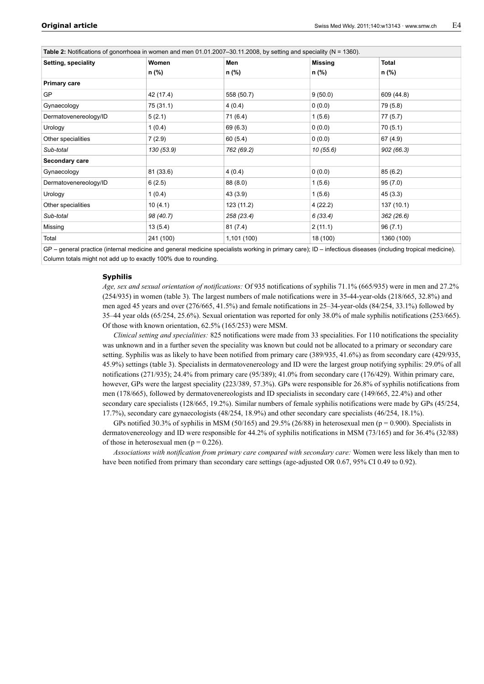| Table 2: Notifications of gonorrhoea in women and men 01.01.2007–30.11.2008, by setting and speciality ( $N = 1360$ ). |                |              |                         |                |  |
|------------------------------------------------------------------------------------------------------------------------|----------------|--------------|-------------------------|----------------|--|
| Setting, speciality                                                                                                    | Women<br>n (%) | Men<br>n (%) | <b>Missing</b><br>n (%) | Total<br>n (%) |  |
|                                                                                                                        |                |              |                         |                |  |
| <b>Primary care</b>                                                                                                    |                |              |                         |                |  |
| GP                                                                                                                     | 42 (17.4)      | 558 (50.7)   | 9(50.0)                 | 609 (44.8)     |  |
| Gynaecology                                                                                                            | 75 (31.1)      | 4(0.4)       | 0(0.0)                  | 79 (5.8)       |  |
| Dermatovenereology/ID                                                                                                  | 5(2.1)         | 71 (6.4)     | 1(5.6)                  | 77 (5.7)       |  |
| Urology                                                                                                                | 1(0.4)         | 69 (6.3)     | 0(0.0)                  | 70 (5.1)       |  |
| Other specialities                                                                                                     | 7(2.9)         | 60(5.4)      | 0(0.0)                  | 67 (4.9)       |  |
| Sub-total                                                                                                              | 130 (53.9)     | 762 (69.2)   | 10(55.6)                | 902 (66.3)     |  |
| Secondary care                                                                                                         |                |              |                         |                |  |
| Gynaecology                                                                                                            | 81 (33.6)      | 4(0.4)       | 0(0.0)                  | 85(6.2)        |  |
| Dermatovenereology/ID                                                                                                  | 6(2.5)         | 88 (8.0)     | 1(5.6)                  | 95(7.0)        |  |
| Urology                                                                                                                | 1(0.4)         | 43 (3.9)     | 1(5.6)                  | 45(3.3)        |  |
| Other specialities                                                                                                     | 10(4.1)        | 123 (11.2)   | 4(22.2)                 | 137 (10.1)     |  |
| Sub-total                                                                                                              | 98 (40.7)      | 258 (23.4)   | 6 (33.4)                | 362(26.6)      |  |
| Missing                                                                                                                | 13(5.4)        | 81(7.4)      | 2(11.1)                 | 96(7.1)        |  |
| Total                                                                                                                  | 241 (100)      | 1,101 (100)  | 18 (100)                | 1360 (100)     |  |
|                                                                                                                        |                |              |                         |                |  |

GP – general practice (internal medicine and general medicine specialists working in primary care); ID – infectious diseases (including tropical medicine). Column totals might not add up to exactly 100% due to rounding.

#### **Syphilis**

*Age, sex and sexual orientation of notifications:* Of 935 notifications of syphilis 71.1% (665/935) were in men and 27.2% (254/935) in women (table 3). The largest numbers of male notifications were in 35-44-year-olds (218/665, 32.8%) and men aged 45 years and over (276/665, 41.5%) and female notifications in 25–34-year-olds (84/254, 33.1%) followed by 35–44 year olds (65/254, 25.6%). Sexual orientation was reported for only 38.0% of male syphilis notifications (253/665). Of those with known orientation, 62.5% (165/253) were MSM.

*Clinical setting and specialities:* 825 notifications were made from 33 specialities. For 110 notifications the speciality was unknown and in a further seven the speciality was known but could not be allocated to a primary or secondary care setting. Syphilis was as likely to have been notified from primary care (389/935, 41.6%) as from secondary care (429/935, 45.9%) settings (table 3). Specialists in dermatovenereology and ID were the largest group notifying syphilis: 29.0% of all notifications (271/935); 24.4% from primary care (95/389); 41.0% from secondary care (176/429). Within primary care, however, GPs were the largest speciality (223/389, 57.3%). GPs were responsible for 26.8% of syphilis notifications from men (178/665), followed by dermatovenereologists and ID specialists in secondary care (149/665, 22.4%) and other secondary care specialists (128/665, 19.2%). Similar numbers of female syphilis notifications were made by GPs (45/254, 17.7%), secondary care gynaecologists (48/254, 18.9%) and other secondary care specialists (46/254, 18.1%).

GPs notified 30.3% of syphilis in MSM (50/165) and 29.5% (26/88) in heterosexual men ( $p = 0.900$ ). Specialists in dermatovenereology and ID were responsible for 44.2% of syphilis notifications in MSM (73/165) and for 36.4% (32/88) of those in heterosexual men ( $p = 0.226$ ).

*Associations with notification from primary care compared with secondary care:* Women were less likely than men to have been notified from primary than secondary care settings (age-adjusted OR 0.67, 95% CI 0.49 to 0.92).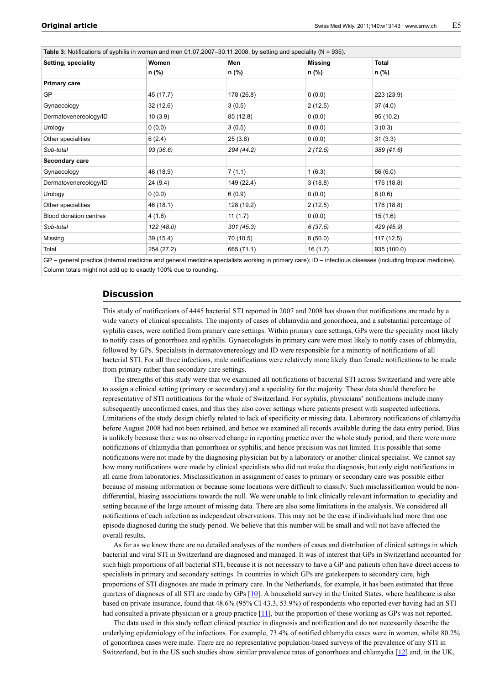| Table 3: Notifications of syphilis in women and men 01.07.2007–30.11.2008, by setting and speciality ( $N = 935$ ). |                |              |                  |                       |  |
|---------------------------------------------------------------------------------------------------------------------|----------------|--------------|------------------|-----------------------|--|
| Setting, speciality                                                                                                 | Women<br>n (%) | Men<br>n (%) | Missing<br>n (%) | <b>Total</b><br>n (%) |  |
|                                                                                                                     |                |              |                  |                       |  |
| <b>Primary care</b>                                                                                                 |                |              |                  |                       |  |
| <b>GP</b>                                                                                                           | 45 (17.7)      | 178 (26.8)   | (0.0)            | 223 (23.9)            |  |
| Gynaecology                                                                                                         | 32(12.6)       | 3(0.5)       | 2(12.5)          | 37(4.0)               |  |
| Dermatovenereology/ID                                                                                               | 10(3.9)        | 85 (12.8)    | 0(0.0)           | 95 (10.2)             |  |
| Urology                                                                                                             | 0(0.0)         | 3(0.5)       | 0(0.0)           | 3(0.3)                |  |
| Other specialities                                                                                                  | 6(2.4)         | 25(3.8)      | 0(0.0)           | 31(3.3)               |  |
| Sub-total                                                                                                           | 93 (36.6)      | 294 (44.2)   | 2(12.5)          | 389 (41.6)            |  |
| Secondary care                                                                                                      |                |              |                  |                       |  |
| Gynaecology                                                                                                         | 48 (18.9)      | 7(1.1)       | 1(6.3)           | 56 (6.0)              |  |
| Dermatovenereology/ID                                                                                               | 24 (9.4)       | 149 (22.4)   | 3(18.8)          | 176 (18.8)            |  |
| Urology                                                                                                             | 0(0.0)         | 6(0.9)       | 0(0.0)           | 6(0.6)                |  |
| Other specialities                                                                                                  | 46 (18.1)      | 128 (19.2)   | 2(12.5)          | 176 (18.8)            |  |
| <b>Blood donation centres</b>                                                                                       | 4(1.6)         | 11(1.7)      | 0(0.0)           | 15(1.6)               |  |
| Sub-total                                                                                                           | 122 (48.0)     | 301(45.3)    | 6(37.5)          | 429 (45.9)            |  |
| Missing                                                                                                             | 39 (15.4)      | 70 (10.5)    | 8(50.0)          | 117 (12.5)            |  |
| Total                                                                                                               | 254 (27.2)     | 665 (71.1)   | 16 (1.7)         | 935 (100.0)           |  |
|                                                                                                                     |                |              |                  |                       |  |

GP – general practice (internal medicine and general medicine specialists working in primary care); ID – infectious diseases (including tropical medicine). Column totals might not add up to exactly 100% due to rounding.

# **Discussion**

This study of notifications of 4445 bacterial STI reported in 2007 and 2008 has shown that notifications are made by a wide variety of clinical specialists. The majority of cases of chlamydia and gonorrhoea, and a substantial percentage of syphilis cases, were notified from primary care settings. Within primary care settings, GPs were the speciality most likely to notify cases of gonorrhoea and syphilis. Gynaecologists in primary care were most likely to notify cases of chlamydia, followed by GPs. Specialists in dermatovenereology and ID were responsible for a minority of notifications of all bacterial STI. For all three infections, male notifications were relatively more likely than female notifications to be made from primary rather than secondary care settings.

The strengths of this study were that we examined all notifications of bacterial STI across Switzerland and were able to assign a clinical setting (primary or secondary) and a speciality for the majority. These data should therefore be representative of STI notifications for the whole of Switzerland. For syphilis, physicians' notifications include many subsequently unconfirmed cases, and thus they also cover settings where patients present with suspected infections. Limitations of the study design chiefly related to lack of specificity or missing data. Laboratory notifications of chlamydia before August 2008 had not been retained, and hence we examined all records available during the data entry period. Bias is unlikely because there was no observed change in reporting practice over the whole study period, and there were more notifications of chlamydia than gonorrhoea or syphilis, and hence precision was not limited. It is possible that some notifications were not made by the diagnosing physician but by a laboratory or another clinical specialist. We cannot say how many notifications were made by clinical specialists who did not make the diagnosis, but only eight notifications in all came from laboratories. Misclassification in assignment of cases to primary or secondary care was possible either because of missing information or because some locations were difficult to classify. Such misclassification would be nondifferential, biasing associations towards the null. We were unable to link clinically relevant information to speciality and setting because of the large amount of missing data. There are also some limitations in the analysis. We considered all notifications of each infection as independent observations. This may not be the case if individuals had more than one episode diagnosed during the study period. We believe that this number will be small and will not have affected the overall results.

As far as we know there are no detailed analyses of the numbers of cases and distribution of clinical settings in which bacterial and viral STI in Switzerland are diagnosed and managed. It was of interest that GPs in Switzerland accounted for such high proportions of all bacterial STI, because it is not necessary to have a GP and patients often have direct access to specialists in primary and secondary settings. In countries in which GPs are gatekeepers to secondary care, high proportions of STI diagnoses are made in primary care. In the Netherlands, for example, it has been estimated that three quarters of diagnoses of all STI are made by GPs [[10\]](#page-6-0). A household survey in the United States, where healthcare is also based on private insurance, found that 48.6% (95% CI 43.3, 53.9%) of respondents who reported ever having had an STI had consulted a private physician or a group practice [\[11\]](#page-6-1), but the proportion of these working as GPs was not reported.

The data used in this study reflect clinical practice in diagnosis and notification and do not necessarily describe the underlying epidemiology of the infections. For example, 73.4% of notified chlamydia cases were in women, whilst 80.2% of gonorrhoea cases were male. There are no representative population-based surveys of the prevalence of any STI in Switzerland, but in the US such studies show similar prevalence rates of gonorrhoea and chlamydia [\[12](#page-6-2)] and, in the UK,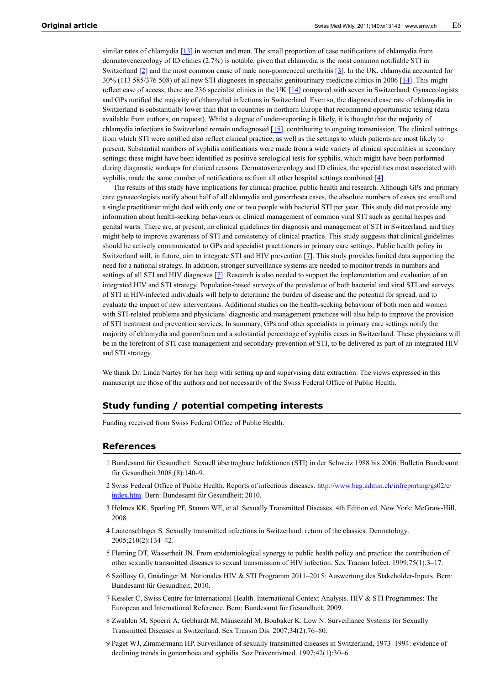similar rates of chlamydia  $[13]$  $[13]$  in women and men. The small proportion of case notifications of chlamydia from dermatovenereology of ID clinics (2.7%) is notable, given that chlamydia is the most common notifiable STI in Switzerland [\[2\]](#page-5-1) and the most common cause of male non-gonococcal urethritis [[3\]](#page-5-2). In the UK, chlamydia accounted for 30% (113 585/376 508) of all new STI diagnoses in specialist genitourinary medicine clinics in 2006 [[14\]](#page-6-4). This might reflect ease of access; there are 236 specialist clinics in the UK  $[14]$  $[14]$  compared with seven in Switzerland. Gynaecologists and GPs notified the majority of chlamydial infections in Switzerland. Even so, the diagnosed case rate of chlamydia in Switzerland is substantially lower than that in countries in northern Europe that recommend opportunistic testing (data available from authors, on request). Whilst a degree of under-reporting is likely, it is thought that the majority of chlamydia infections in Switzerland remain undiagnosed  $[15]$  $[15]$ , contributing to ongoing transmission. The clinical settings from which STI were notified also reflect clinical practice, as well as the settings to which patients are most likely to present. Substantial numbers of syphilis notifications were made from a wide variety of clinical specialities in secondary settings; these might have been identified as positive serological tests for syphilis, which might have been performed during diagnostic workups for clinical reasons. Dermatovenereology and ID clinics, the specialities most associated with syphilis, made the same number of notifications as from all other hospital settings combined [[4](#page-5-3)].

The results of this study have implications for clinical practice, public health and research. Although GPs and primary care gynaecologists notify about half of all chlamydia and gonorrhoea cases, the absolute numbers of cases are small and a single practitioner might deal with only one or two people with bacterial STI per year. This study did not provide any information about health-seeking behaviours or clinical management of common viral STI such as genital herpes and genital warts. There are, at present, no clinical guidelines for diagnosis and management of STI in Switzerland, and they might help to improve awareness of STI and consistency of clinical practice. This study suggests that clinical guidelines should be actively communicated to GPs and specialist practitioners in primary care settings. Public health policy in Switzerland will, in future, aim to integrate STI and HIV prevention [[7](#page-5-6)]. This study provides limited data supporting the need for a national strategy. In addition, stronger surveillance systems are needed to monitor trends in numbers and settings of all STI and HIV diagnoses [[7](#page-5-6)]. Research is also needed to support the implementation and evaluation of an integrated HIV and STI strategy. Population-based surveys of the prevalence of both bacterial and viral STI and surveys of STI in HIV-infected individuals will help to determine the burden of disease and the potential for spread, and to evaluate the impact of new interventions. Additional studies on the health-seeking behaviour of both men and women with STI-related problems and physicians' diagnostic and management practices will also help to improve the provision of STI treatment and prevention services. In summary, GPs and other specialists in primary care settings notify the majority of chlamydia and gonorrhoea and a substantial percentage of syphilis cases in Switzerland. These physicians will be in the forefront of STI case management and secondary prevention of STI, to be delivered as part of an integrated HIV and STI strategy.

We thank Dr. Linda Nartey for her help with setting up and supervising data extraction. The views expressed in this manuscript are those of the authors and not necessarily of the Swiss Federal Office of Public Health.

# **Study funding / potential competing interests**

Funding received from Swiss Federal Office of Public Health.

## <span id="page-5-0"></span>**References**

- 1 Bundesamt für Gesundheit. Sexuell übertragbare Infektionen (STI) in der Schweiz 1988 bis 2006. Bulletin Bundesamt für Gesundheit 2008;(8):140–9.
- <span id="page-5-1"></span>2 Swiss Federal Office of Public Health. Reports of infectious diseases. [http://www.bag.admin.ch/infreporting/gs02/e/](http://www.bag.admin.ch/infreporting/gs02/e/index.htm) [index.htm.](http://www.bag.admin.ch/infreporting/gs02/e/index.htm) Bern: Bundesamt für Gesundheit; 2010.
- <span id="page-5-2"></span>3 Holmes KK, Sparling PF, Stamm WE, et al. Sexually Transmitted Diseases. 4th Edition ed. New York: McGraw-Hill, 2008.
- <span id="page-5-3"></span>4 Lautenschlager S. Sexually transmitted infections in Switzerland: return of the classics. Dermatology. 2005;210(2):134–42.
- <span id="page-5-4"></span>5 Fleming DT, Wasserheit JN. From epidemiological synergy to public health policy and practice: the contribution of other sexually transmitted diseases to sexual transmission of HIV infection. Sex Transm Infect. 1999;75(1):3–17.
- <span id="page-5-5"></span>6 Szöllösy G, Gnädinger M. Nationales HIV & STI Programm 2011–2015: Auswertung des Stakeholder-Inputs. Bern: Bundesamt für Gesundheit; 2010.
- <span id="page-5-6"></span>7 Kessler C, Swiss Centre for International Health. International Context Analysis. HIV & STI Programmes: The European and International Reference. Bern: Bundesamt für Gesundheit; 2009.
- <span id="page-5-7"></span>8 Zwahlen M, Spoerri A, Gebhardt M, Mausezahl M, Boubaker K, Low N. Surveillance Systems for Sexually Transmitted Diseases in Switzerland. Sex Transm Dis. 2007;34(2):76–80.
- <span id="page-5-8"></span>9 Paget WJ, Zimmermann HP. Surveillance of sexually transmitted diseases in Switzerland, 1973–1994: evidence of declining trends in gonorrhoea and syphilis. Soz Präventivmed. 1997;42(1):30–6.